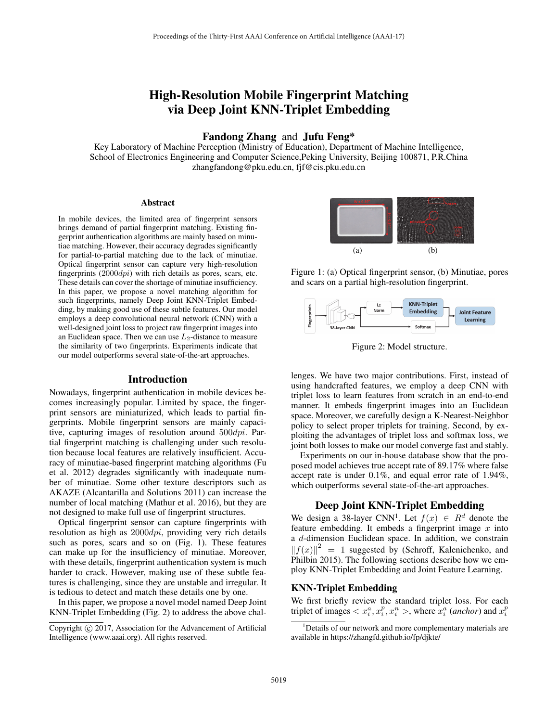# High-Resolution Mobile Fingerprint Matching via Deep Joint KNN-Triplet Embedding

# Fandong Zhang and Jufu Feng\*

Key Laboratory of Machine Perception (Ministry of Education), Department of Machine Intelligence, School of Electronics Engineering and Computer Science,Peking University, Beijing 100871, P.R.China zhangfandong@pku.edu.cn, fjf@cis.pku.edu.cn

#### Abstract

In mobile devices, the limited area of fingerprint sensors brings demand of partial fingerprint matching. Existing fingerprint authentication algorithms are mainly based on minutiae matching. However, their accuracy degrades significantly for partial-to-partial matching due to the lack of minutiae. Optical fingerprint sensor can capture very high-resolution fingerprints  $(2000dpi)$  with rich details as pores, scars, etc. These details can cover the shortage of minutiae insufficiency. In this paper, we propose a novel matching algorithm for such fingerprints, namely Deep Joint KNN-Triplet Embedding, by making good use of these subtle features. Our model employs a deep convolutional neural network (CNN) with a well-designed joint loss to project raw fingerprint images into an Euclidean space. Then we can use  $L_2$ -distance to measure the similarity of two fingerprints. Experiments indicate that our model outperforms several state-of-the-art approaches.

#### Introduction

Nowadays, fingerprint authentication in mobile devices becomes increasingly popular. Limited by space, the fingerprint sensors are miniaturized, which leads to partial fingerprints. Mobile fingerprint sensors are mainly capacitive, capturing images of resolution around  $500$ dpi. Partial fingerprint matching is challenging under such resolution because local features are relatively insufficient. Accuracy of minutiae-based fingerprint matching algorithms (Fu et al. 2012) degrades significantly with inadequate number of minutiae. Some other texture descriptors such as AKAZE (Alcantarilla and Solutions 2011) can increase the number of local matching (Mathur et al. 2016), but they are not designed to make full use of fingerprint structures.

Optical fingerprint sensor can capture fingerprints with resolution as high as  $2000$ dpi, providing very rich details such as pores, scars and so on (Fig. 1). These features can make up for the insufficiency of minutiae. Moreover, with these details, fingerprint authentication system is much harder to crack. However, making use of these subtle features is challenging, since they are unstable and irregular. It is tedious to detect and match these details one by one.

In this paper, we propose a novel model named Deep Joint KNN-Triplet Embedding (Fig. 2) to address the above chal-



Figure 1: (a) Optical fingerprint sensor, (b) Minutiae, pores and scars on a partial high-resolution fingerprint.



Figure 2: Model structure.

lenges. We have two major contributions. First, instead of using handcrafted features, we employ a deep CNN with triplet loss to learn features from scratch in an end-to-end manner. It embeds fingerprint images into an Euclidean space. Moreover, we carefully design a K-Nearest-Neighbor policy to select proper triplets for training. Second, by exploiting the advantages of triplet loss and softmax loss, we joint both losses to make our model converge fast and stably.

Experiments on our in-house database show that the proposed model achieves true accept rate of 89.17% where false accept rate is under 0.1%, and equal error rate of 1.94%, which outperforms several state-of-the-art approaches.

## Deep Joint KNN-Triplet Embedding

We design a 38-layer CNN<sup>1</sup>. Let  $f(x) \in R^d$  denote the feature embedding. It embeds a fingerprint image  $x$  into a d-dimension Euclidean space. In addition, we constrain  $||f(x)||^2 = 1$  suggested by (Schroff, Kalenichenko, and Philbin 2015). The following sections describe how we employ KNN-Triplet Embedding and Joint Feature Learning.

### KNN-Triplet Embedding

We first briefly review the standard triplet loss. For each triplet of images  $\langle x_i^a, x_i^p, x_i^n \rangle$ , where  $x_i^a$  (*anchor*) and  $x_i^p$ 

Copyright  $\odot$  2017, Association for the Advancement of Artificial Intelligence (www.aaai.org). All rights reserved.

<sup>&</sup>lt;sup>1</sup>Details of our network and more complementary materials are available in https://zhangfd.github.io/fp/djkte/